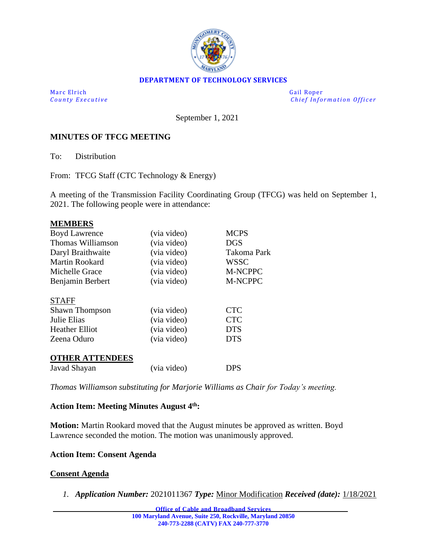

### **DEPARTMENT OF TECHNOLOGY SERVICES**

Marc Elrich Gail Roper

*County Executive* **County Executive Change in the county Executive Chief Information Officer** 

September 1, 2021

## **MINUTES OF TFCG MEETING**

To: Distribution

From: TFCG Staff (CTC Technology & Energy)

A meeting of the Transmission Facility Coordinating Group (TFCG) was held on September 1, 2021. The following people were in attendance:

| <b>MEMBERS</b>         |             |                |
|------------------------|-------------|----------------|
| <b>Boyd Lawrence</b>   | (via video) | <b>MCPS</b>    |
| Thomas Williamson      | (via video) | <b>DGS</b>     |
| Daryl Braithwaite      | (via video) | Takoma Park    |
| Martin Rookard         | (via video) | <b>WSSC</b>    |
| Michelle Grace         | (via video) | <b>M-NCPPC</b> |
| Benjamin Berbert       | (via video) | <b>M-NCPPC</b> |
| <b>STAFF</b>           |             |                |
| <b>Shawn Thompson</b>  | (via video) | <b>CTC</b>     |
| Julie Elias            | (via video) | <b>CTC</b>     |
| <b>Heather Elliot</b>  | (via video) | <b>DTS</b>     |
| Zeena Oduro            | (via video) | <b>DTS</b>     |
| <b>OTHER ATTENDEES</b> |             |                |
| Javad Shayan           | (via video) | DPS            |

*Thomas Williamson substituting for Marjorie Williams as Chair for Today's meeting.* 

## **Action Item: Meeting Minutes August 4th:**

**Motion:** Martin Rookard moved that the August minutes be approved as written. Boyd Lawrence seconded the motion. The motion was unanimously approved.

#### **Action Item: Consent Agenda**

#### **Consent Agenda**

*1. Application Number:* 2021011367 *Type:* Minor Modification *Received (date):* 1/18/2021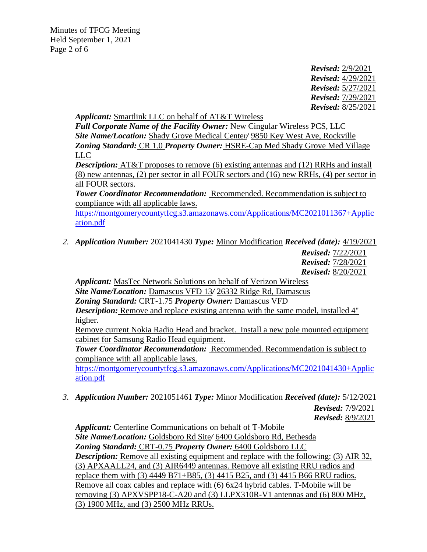Minutes of TFCG Meeting Held September 1, 2021 Page 2 of 6

> *Revised:* 2/9/2021 *Revised:* 4/29/2021 *Revised:* 5/27/2021 *Revised:* 7/29/2021 *Revised:* 8/25/2021

*Applicant:* Smartlink LLC on behalf of AT&T Wireless

*Full Corporate Name of the Facility Owner:* New Cingular Wireless PCS, LLC *Site Name/Location:* Shady Grove Medical Center*/* 9850 Key West Ave, Rockville *Zoning Standard:* CR 1.0 *Property Owner:* HSRE-Cap Med Shady Grove Med Village LLC

*Description:* AT&T proposes to remove (6) existing antennas and (12) RRHs and install (8) new antennas, (2) per sector in all FOUR sectors and (16) new RRHs, (4) per sector in all FOUR sectors.

*Tower Coordinator Recommendation:* Recommended. Recommendation is subject to compliance with all applicable laws.

[https://montgomerycountytfcg.s3.amazonaws.com/Applications/MC2021011367+Applic](https://montgomerycountytfcg.s3.amazonaws.com/Applications/MC2021011367+Application.pdf) [ation.pdf](https://montgomerycountytfcg.s3.amazonaws.com/Applications/MC2021011367+Application.pdf)

*2. Application Number:* 2021041430 *Type:* Minor Modification *Received (date):* 4/19/2021

*Revised:* 7/22/2021

*Revised:* 7/28/2021

*Revised:* 8/20/2021

*Applicant:* MasTec Network Solutions on behalf of Verizon Wireless *Site Name/Location:* Damascus VFD 13*/* 26332 Ridge Rd, Damascus *Zoning Standard:* CRT-1.75 *Property Owner:* Damascus VFD

*Description:* Remove and replace existing antenna with the same model, installed 4" higher.

Remove current Nokia Radio Head and bracket. Install a new pole mounted equipment cabinet for Samsung Radio Head equipment.

*Tower Coordinator Recommendation:* Recommended. Recommendation is subject to compliance with all applicable laws.

[https://montgomerycountytfcg.s3.amazonaws.com/Applications/MC2021041430+Applic](https://montgomerycountytfcg.s3.amazonaws.com/Applications/MC2021041430+Application.pdf) [ation.pdf](https://montgomerycountytfcg.s3.amazonaws.com/Applications/MC2021041430+Application.pdf)

*3. Application Number:* 2021051461 *Type:* Minor Modification *Received (date):* 5/12/2021 *Revised:* 7/9/2021

*Revised:* 8/9/2021

*Applicant:* Centerline Communications on behalf of T-Mobile *Site Name/Location:* Goldsboro Rd Site*/* 6400 Goldsboro Rd, Bethesda *Zoning Standard:* CRT-0.75 *Property Owner:* 6400 Goldsboro LLC *Description:* Remove all existing equipment and replace with the following: (3) AIR 32, (3) APXAALL24, and (3) AIR6449 antennas. Remove all existing RRU radios and replace them with (3) 4449 B71+B85, (3) 4415 B25, and (3) 4415 B66 RRU radios. Remove all coax cables and replace with (6) 6x24 hybrid cables. T-Mobile will be removing (3) APXVSPP18-C-A20 and (3) LLPX310R-V1 antennas and (6) 800 MHz, (3) 1900 MHz, and (3) 2500 MHz RRUs.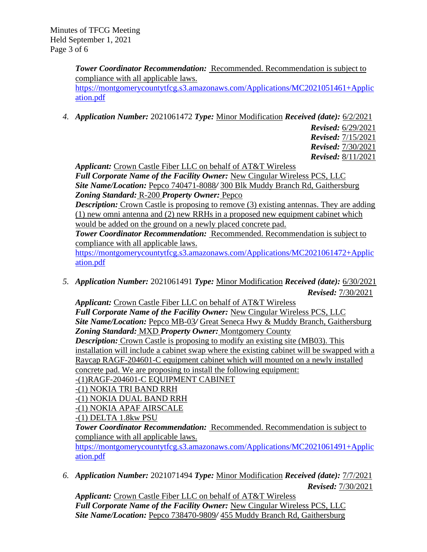*Tower Coordinator Recommendation:* Recommended. Recommendation is subject to compliance with all applicable laws. [https://montgomerycountytfcg.s3.amazonaws.com/Applications/MC2021051461+Applic](https://montgomerycountytfcg.s3.amazonaws.com/Applications/MC2021051461+Application.pdf) [ation.pdf](https://montgomerycountytfcg.s3.amazonaws.com/Applications/MC2021051461+Application.pdf)

*4. Application Number:* 2021061472 *Type:* Minor Modification *Received (date):* 6/2/2021

*Revised:* 6/29/2021 *Revised:* 7/15/2021 *Revised:* 7/30/2021 *Revised:* 8/11/2021

*Applicant:* Crown Castle Fiber LLC on behalf of AT&T Wireless

*Full Corporate Name of the Facility Owner:* New Cingular Wireless PCS, LLC *Site Name/Location:* Pepco 740471-8088*/* 300 Blk Muddy Branch Rd, Gaithersburg *Zoning Standard:* R-200 *Property Owner:* Pepco

*Description:* Crown Castle is proposing to remove (3) existing antennas. They are adding (1) new omni antenna and (2) new RRHs in a proposed new equipment cabinet which would be added on the ground on a newly placed concrete pad.

*Tower Coordinator Recommendation:* Recommended. Recommendation is subject to compliance with all applicable laws.

[https://montgomerycountytfcg.s3.amazonaws.com/Applications/MC2021061472+Applic](https://montgomerycountytfcg.s3.amazonaws.com/Applications/MC2021061472+Application.pdf) [ation.pdf](https://montgomerycountytfcg.s3.amazonaws.com/Applications/MC2021061472+Application.pdf)

*5. Application Number:* 2021061491 *Type:* Minor Modification *Received (date):* 6/30/2021 *Revised:* 7/30/2021

*Applicant:* Crown Castle Fiber LLC on behalf of AT&T Wireless *Full Corporate Name of the Facility Owner:* New Cingular Wireless PCS, LLC *Site Name/Location:* Pepco MB-03*/* Great Seneca Hwy & Muddy Branch, Gaithersburg *Zoning Standard:* MXD *Property Owner:* Montgomery County *Description:* Crown Castle is proposing to modify an existing site (MB03). This installation will include a cabinet swap where the existing cabinet will be swapped with a Raycap RAGF-204601-C equipment cabinet which will mounted on a newly installed concrete pad. We are proposing to install the following equipment: -(1)RAGF-204601-C EQUIPMENT CABINET

-(1) NOKIA TRI BAND RRH

-(1) NOKIA DUAL BAND RRH

-(1) NOKIA APAF AIRSCALE

-(1) DELTA 1.8kw PSU

*Tower Coordinator Recommendation:* Recommended. Recommendation is subject to compliance with all applicable laws.

[https://montgomerycountytfcg.s3.amazonaws.com/Applications/MC2021061491+Applic](https://montgomerycountytfcg.s3.amazonaws.com/Applications/MC2021061491+Application.pdf) [ation.pdf](https://montgomerycountytfcg.s3.amazonaws.com/Applications/MC2021061491+Application.pdf)

*6. Application Number:* 2021071494 *Type:* Minor Modification *Received (date):* 7/7/2021 *Revised:* 7/30/2021

*Applicant:* Crown Castle Fiber LLC on behalf of AT&T Wireless *Full Corporate Name of the Facility Owner:* New Cingular Wireless PCS, LLC *Site Name/Location:* Pepco 738470-9809*/* 455 Muddy Branch Rd, Gaithersburg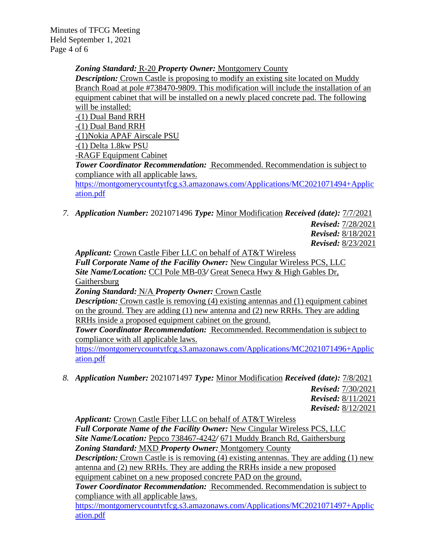Minutes of TFCG Meeting Held September 1, 2021 Page 4 of 6

> *Zoning Standard:* R-20 *Property Owner:* Montgomery County *Description:* Crown Castle is proposing to modify an existing site located on Muddy Branch Road at pole #738470-9809. This modification will include the installation of an equipment cabinet that will be installed on a newly placed concrete pad. The following will be installed: -(1) Dual Band RRH -(1) Dual Band RRH -(1)Nokia APAF Airscale PSU -(1) Delta 1.8kw PSU -RAGF Equipment Cabinet *Tower Coordinator Recommendation:* Recommended. Recommendation is subject to compliance with all applicable laws. [https://montgomerycountytfcg.s3.amazonaws.com/Applications/MC2021071494+Applic](https://montgomerycountytfcg.s3.amazonaws.com/Applications/MC2021071494+Application.pdf) [ation.pdf](https://montgomerycountytfcg.s3.amazonaws.com/Applications/MC2021071494+Application.pdf)

*7. Application Number:* 2021071496 *Type:* Minor Modification *Received (date):* 7/7/2021

*Revised:* 7/28/2021 *Revised:* 8/18/2021 *Revised:* 8/23/2021

*Applicant:* Crown Castle Fiber LLC on behalf of AT&T Wireless

*Full Corporate Name of the Facility Owner:* New Cingular Wireless PCS, LLC *Site Name/Location:* CCI Pole MB-03*/* Great Seneca Hwy & High Gables Dr, Gaithersburg

*Zoning Standard:* N/A *Property Owner:* Crown Castle

*Description:* Crown castle is removing (4) existing antennas and (1) equipment cabinet on the ground. They are adding (1) new antenna and (2) new RRHs. They are adding RRHs inside a proposed equipment cabinet on the ground.

*Tower Coordinator Recommendation:* Recommended. Recommendation is subject to compliance with all applicable laws.

[https://montgomerycountytfcg.s3.amazonaws.com/Applications/MC2021071496+Applic](https://montgomerycountytfcg.s3.amazonaws.com/Applications/MC2021071496+Application.pdf) [ation.pdf](https://montgomerycountytfcg.s3.amazonaws.com/Applications/MC2021071496+Application.pdf)

*8. Application Number:* 2021071497 *Type:* Minor Modification *Received (date):* 7/8/2021

*Revised:* 7/30/2021 *Revised:* 8/11/2021 *Revised:* 8/12/2021

*Applicant:* Crown Castle Fiber LLC on behalf of AT&T Wireless

*Full Corporate Name of the Facility Owner:* New Cingular Wireless PCS, LLC *Site Name/Location:* Pepco 738467-4242*/* 671 Muddy Branch Rd, Gaithersburg *Zoning Standard:* MXD *Property Owner:* Montgomery County

*Description:* Crown Castle is is removing (4) existing antennas. They are adding (1) new antenna and (2) new RRHs. They are adding the RRHs inside a new proposed equipment cabinet on a new proposed concrete PAD on the ground.

**Tower Coordinator Recommendation: Recommended. Recommendation is subject to** compliance with all applicable laws.

[https://montgomerycountytfcg.s3.amazonaws.com/Applications/MC2021071497+Applic](https://montgomerycountytfcg.s3.amazonaws.com/Applications/MC2021071497+Application.pdf) [ation.pdf](https://montgomerycountytfcg.s3.amazonaws.com/Applications/MC2021071497+Application.pdf)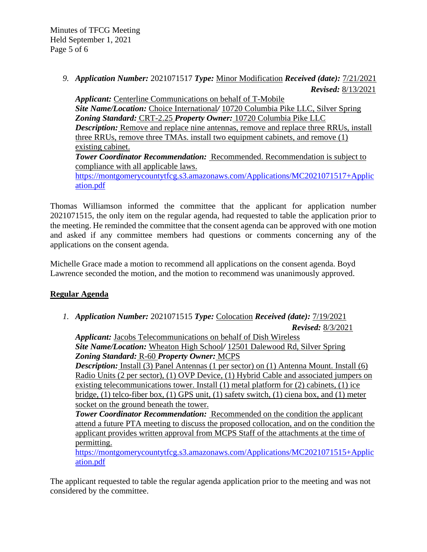*9. Application Number:* 2021071517 *Type:* Minor Modification *Received (date):* 7/21/2021 *Revised:* 8/13/2021

*Applicant:* Centerline Communications on behalf of T-Mobile *Site Name/Location:* Choice International*/* 10720 Columbia Pike LLC, Silver Spring *Zoning Standard:* CRT-2.25 *Property Owner:* 10720 Columbia Pike LLC *Description:* Remove and replace nine antennas, remove and replace three RRUs, install three RRUs, remove three TMAs. install two equipment cabinets, and remove (1) existing cabinet. *Tower Coordinator Recommendation:* Recommended. Recommendation is subject to compliance with all applicable laws. [https://montgomerycountytfcg.s3.amazonaws.com/Applications/MC2021071517+Applic](https://montgomerycountytfcg.s3.amazonaws.com/Applications/MC2021071517+Application.pdf) [ation.pdf](https://montgomerycountytfcg.s3.amazonaws.com/Applications/MC2021071517+Application.pdf)

Thomas Williamson informed the committee that the applicant for application number 2021071515, the only item on the regular agenda, had requested to table the application prior to the meeting. He reminded the committee that the consent agenda can be approved with one motion and asked if any committee members had questions or comments concerning any of the applications on the consent agenda.

Michelle Grace made a motion to recommend all applications on the consent agenda. Boyd Lawrence seconded the motion, and the motion to recommend was unanimously approved.

# **Regular Agenda**

*1. Application Number:* 2021071515 *Type:* Colocation *Received (date):* 7/19/2021

*Revised:* 8/3/2021

*Applicant:* Jacobs Telecommunications on behalf of Dish Wireless *Site Name/Location:* Wheaton High School*/* 12501 Dalewood Rd, Silver Spring *Zoning Standard:* R-60 *Property Owner:* MCPS

**Description:** Install (3) Panel Antennas (1 per sector) on (1) Antenna Mount. Install (6) Radio Units (2 per sector), (1) OVP Device, (1) Hybrid Cable and associated jumpers on existing telecommunications tower. Install (1) metal platform for (2) cabinets, (1) ice bridge, (1) telco-fiber box, (1) GPS unit, (1) safety switch, (1) ciena box, and (1) meter socket on the ground beneath the tower.

*Tower Coordinator Recommendation:* Recommended on the condition the applicant attend a future PTA meeting to discuss the proposed collocation, and on the condition the applicant provides written approval from MCPS Staff of the attachments at the time of permitting.

[https://montgomerycountytfcg.s3.amazonaws.com/Applications/MC2021071515+Applic](https://montgomerycountytfcg.s3.amazonaws.com/Applications/MC2021071515+Application.pdf) [ation.pdf](https://montgomerycountytfcg.s3.amazonaws.com/Applications/MC2021071515+Application.pdf)

The applicant requested to table the regular agenda application prior to the meeting and was not considered by the committee.